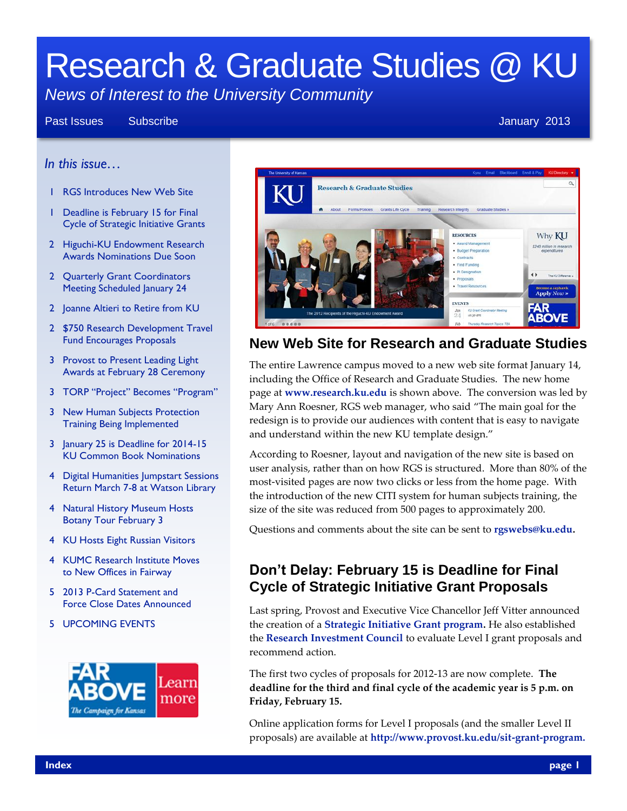# Research & Graduate Studies @ KU

# *News of Interest to the University Community*

#### Past Issues Subscribe **Subscribe According to the Contract Contract Contract Contract Contract Contract Contract Contract Contract Contract Contract Contract Contract Contract Contract Contract Contract Contract Contract C**

#### *In this issue…*

- 1 RGS Introduces New Web Site
- 1 Deadline is February 15 for Final Cycle of Strategic Initiative Grants
- 2 Higuchi-KU Endowment Research Awards Nominations Due Soon
- 2 Quarterly Grant Coordinators Meeting Scheduled January 24
- 2 Joanne Altieri to Retire from KU
- 2 \$750 Research Development Travel Fund Encourages Proposals
- 3 Provost to Present Leading Light Awards at February 28 Ceremony
- 3 TORP "Project" Becomes "Program"
- 3 New Human Subjects Protection Training Being Implemented
- 3 January 25 is Deadline for 2014-15 KU Common Book Nominations
- 4 Digital Humanities Jumpstart Sessions Return March 7-8 at Watson Library
- 4 Natural History Museum Hosts Botany Tour February 3
- 4 KU Hosts Eight Russian Visitors
- 4 KUMC Research Institute Moves to New Offices in Fairway
- 5 2013 P-Card Statement and Force Close Dates Announced
- 5 UPCOMING EVENTS





#### **New Web Site for Research and Graduate Studies**

The entire Lawrence campus moved to a new web site format January 14, including the Office of Research and Graduate Studies. The new home page at **[www.research.ku.edu](http://www.research.ku.edu/)** is shown above. The conversion was led by Mary Ann Roesner, RGS web manager, who said "The main goal for the redesign is to provide our audiences with content that is easy to navigate and understand within the new KU template design."

According to Roesner, layout and navigation of the new site is based on user analysis, rather than on how RGS is structured. More than 80% of the most-visited pages are now two clicks or less from the home page. With the introduction of the new CITI system for human subjects training, the size of the site was reduced from 500 pages to approximately 200.

Questions and comments about the site can be sent to **[rgswebs@ku.edu.](mailto:rgswebs@ku.edu)**

#### **Don't Delay: February 15 is Deadline for Final Cycle of Strategic Initiative Grant Proposals**

Last spring, Provost and Executive Vice Chancellor Jeff Vitter announced the creation of a **[Strategic Initiative Grant program.](http://www.provost.ku.edu/sit-grant-program)** He also established the **[Research Investment Council](http://www.provost.ku.edu/strategic-plan/ric)** to evaluate Level I grant proposals and recommend action.

The first two cycles of proposals for 2012-13 are now complete. **The deadline for the third and final cycle of the academic year is 5 p.m. on Friday, February 15.**

Online application forms for Level I proposals (and the smaller Level II proposals) are available at **[http://www.provost.ku.edu/sit-grant-program.](http://www.provost.ku.edu/sit-grant-program)**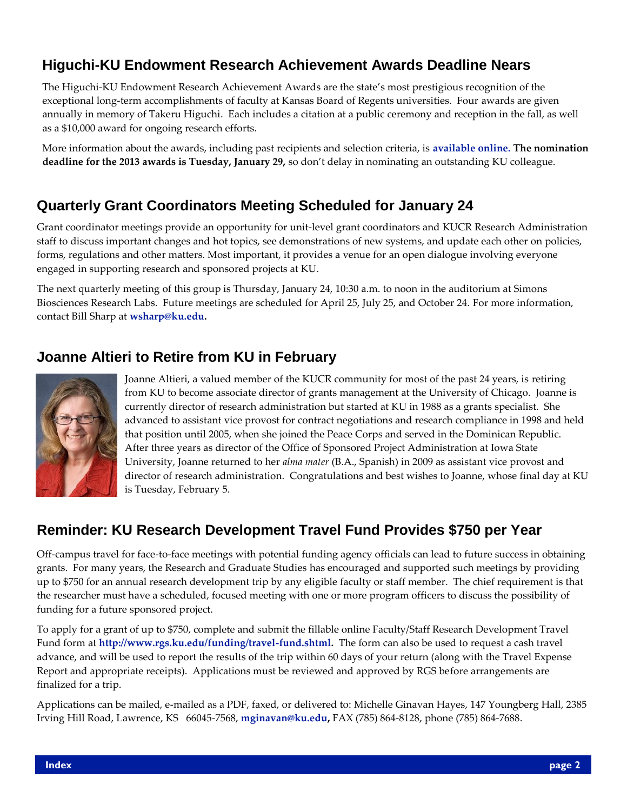# **Higuchi-KU Endowment Research Achievement Awards Deadline Nears**

The Higuchi-KU Endowment Research Achievement Awards are the state's most prestigious recognition of the exceptional long-term accomplishments of faculty at Kansas Board of Regents universities. Four awards are given annually in memory of Takeru Higuchi. Each includes a citation at a public ceremony and reception in the fall, as well as a \$10,000 award for ongoing research efforts.

More information about the awards, including past recipients and selection criteria, is **[available online.](http://research.ku.edu/higuchi_research_awards) The nomination deadline for the 2013 awards is Tuesday, January 29,** so don't delay in nominating an outstanding KU colleague.

# **Quarterly Grant Coordinators Meeting Scheduled for January 24**

Grant coordinator meetings provide an opportunity for unit-level grant coordinators and KUCR Research Administration staff to discuss important changes and hot topics, see demonstrations of new systems, and update each other on policies, forms, regulations and other matters. Most important, it provides a venue for an open dialogue involving everyone engaged in supporting research and sponsored projects at KU.

The next quarterly meeting of this group is Thursday, January 24, 10:30 a.m. to noon in the auditorium at Simons Biosciences Research Labs. Future meetings are scheduled for April 25, July 25, and October 24. For more information, contact Bill Sharp at **[wsharp@ku.edu.](mailto:wsharp@ku.edu)**

# **Joanne Altieri to Retire from KU in February**



Joanne Altieri, a valued member of the KUCR community for most of the past 24 years, is retiring from KU to become associate director of grants management at the University of Chicago. Joanne is currently director of research administration but started at KU in 1988 as a grants specialist. She advanced to assistant vice provost for contract negotiations and research compliance in 1998 and held that position until 2005, when she joined the Peace Corps and served in the Dominican Republic. After three years as director of the Office of Sponsored Project Administration at Iowa State University, Joanne returned to her *alma mater* (B.A., Spanish) in 2009 as assistant vice provost and director of research administration. Congratulations and best wishes to Joanne, whose final day at KU is Tuesday, February 5.

#### **Reminder: KU Research Development Travel Fund Provides \$750 per Year**

Off-campus travel for face-to-face meetings with potential funding agency officials can lead to future success in obtaining grants. For many years, the Research and Graduate Studies has encouraged and supported such meetings by providing up to \$750 for an annual research development trip by any eligible faculty or staff member. The chief requirement is that the researcher must have a scheduled, focused meeting with one or more program officers to discuss the possibility of funding for a future sponsored project.

To apply for a grant of up to \$750, complete and submit the fillable online Faculty/Staff Research Development Travel Fund form at **[http://www.rgs.ku.edu/funding/travel-fund.shtml.](http://www.rgs.ku.edu/funding/travel-fund.shtml)** The form can also be used to request a cash travel advance, and will be used to report the results of the trip within 60 days of your return (along with the Travel Expense Report and appropriate receipts). Applications must be reviewed and approved by RGS before arrangements are finalized for a trip.

Applications can be mailed, e-mailed as a PDF, faxed, or delivered to: Michelle Ginavan Hayes, 147 Youngberg Hall, 2385 Irving Hill Road, Lawrence, KS 66045-7568, **[mginavan@ku.edu,](mailto:mginavan@ku.edu)** FAX (785) 864-8128, phone (785) 864-7688.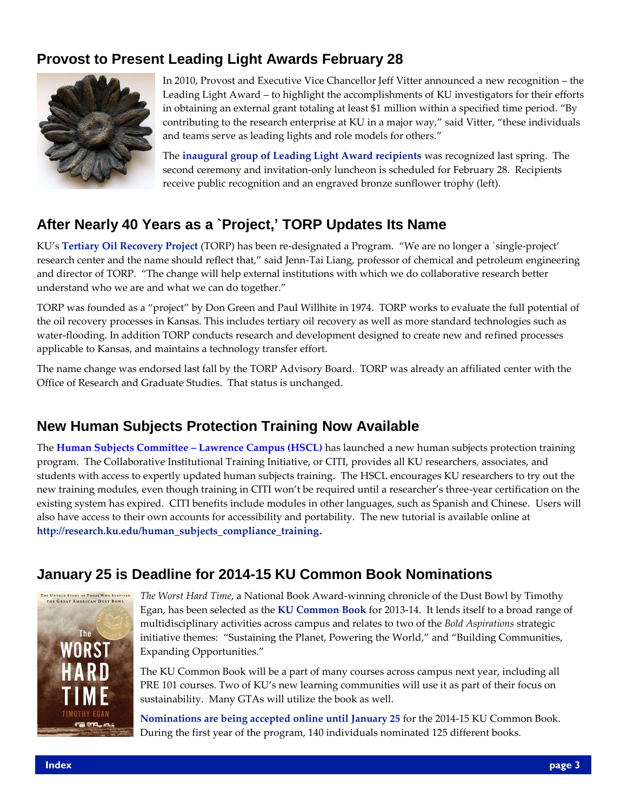# **Provost to Present Leading Light Awards February 28**



In 2010, Provost and Executive Vice Chancellor Jeff Vitter announced a new recognition – the Leading Light Award – to highlight the accomplishments of KU investigators for their efforts in obtaining an external grant totaling at least \$1 million within a specified time period. "By contributing to the research enterprise at KU in a major way," said Vitter, "these individuals and teams serve as leading lights and role models for others."

The **[inaugural group of Leading Light Award recipients](http://www2.ku.edu/~oirp/profiles/FY2012/6a-400_to_6a-943.pdf)** was recognized last spring. The second ceremony and invitation-only luncheon is scheduled for February 28. Recipients receive public recognition and an engraved bronze sunflower trophy (left).

# **After Nearly 40 Years as a `Project,' TORP Updates Its Name**

KU's **[Tertiary Oil Recovery Project](https://www.torp.ku.edu/)** (TORP) has been re-designated a Program. "We are no longer a `single-project' research center and the name should reflect that," said Jenn-Tai Liang, professor of chemical and petroleum engineering and director of TORP. "The change will help external institutions with which we do collaborative research better understand who we are and what we can do together."

TORP was founded as a "project" by Don Green and Paul Willhite in 1974. TORP works to evaluate the full potential of the oil recovery processes in Kansas. This includes tertiary oil recovery as well as more standard technologies such as water-flooding. In addition TORP conducts research and development designed to create new and refined processes applicable to Kansas, and maintains a technology transfer effort.

The name change was endorsed last fall by the TORP Advisory Board. TORP was already an affiliated center with the Office of Research and Graduate Studies. That status is unchanged.

# **New Human Subjects Protection Training Now Available**

The **[Human Subjects Committee](http://www.rcr.ku.edu/~rcr/hscl/index.shtml) – Lawrence Campus (HSCL)** has launched a new human subjects protection training program. The Collaborative Institutional Training Initiative, or CITI, provides all KU researchers, associates, and students with access to expertly updated human subjects training. The HSCL encourages KU researchers to try out the new training modules, even though training in CITI won't be required until a researcher's three-year certification on the existing system has expired. CITI benefits include modules in other languages, such as Spanish and Chinese. Users will also have access to their own accounts for accessibility and portability. The new tutorial is available online at **[http://research.ku.edu/human\\_subjects\\_compliance\\_training.](http://research.ku.edu/human_subjects_compliance_training)**

# **January 25 is Deadline for 2014-15 KU Common Book Nominations**



*The Worst Hard Time*, a National Book Award-winning chronicle of the Dust Bowl by Timothy Egan, has been selected as the **[KU Common Book](http://firstyear.ku.edu/commonbook/2013)** for 2013-14. It lends itself to a broad range of multidisciplinary activities across campus and relates to two of the *Bold Aspirations* strategic initiative themes: "Sustaining the Planet, Powering the World," and "Building Communities, Expanding Opportunities."

The KU Common Book will be a part of many courses across campus next year, including all PRE 101 courses. Two of KU's new learning communities will use it as part of their focus on sustainability. Many GTAs will utilize the book as well.

**[Nominations are being accepted online until January 25](http://firstyear.ku.edu/nominate)** for the 2014-15 KU Common Book. During the first year of the program, 140 individuals nominated 125 different books.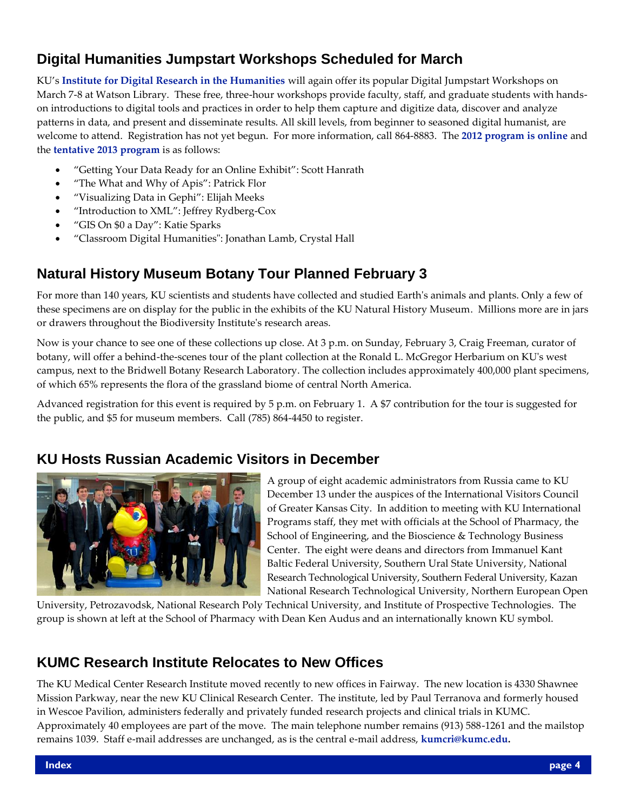# **Digital Humanities Jumpstart Workshops Scheduled for March**

KU's **[Institute for Digital Research in the Humanities](http://idrh.ku.edu/)** will again offer its popular Digital Jumpstart Workshops on March 7-8 at Watson Library. These free, three-hour workshops provide faculty, staff, and graduate students with handson introductions to digital tools and practices in order to help them capture and digitize data, discover and analyze patterns in data, and present and disseminate results. All skill levels, from beginner to seasoned digital humanist, are welcome to attend. Registration has not yet begun. For more information, call 864-8883. The **[2012 program is online](http://idrh.ku.edu/calendar/events/workshops2012/)** and the **[tentative 2013 program](http://idrh.ku.edu/workshops/)** is as follows:

- "Getting Your Data Ready for an Online Exhibit": Scott Hanrath
- "The What and Why of Apis": Patrick Flor
- "Visualizing Data in Gephi": Elijah Meeks
- "Introduction to XML": Jeffrey Rydberg-Cox
- "GIS On \$0 a Day": Katie Sparks
- "Classroom Digital Humanities": Jonathan Lamb, Crystal Hall

# **Natural History Museum Botany Tour Planned February 3**

For more than 140 years, KU scientists and students have collected and studied Earth's animals and plants. Only a few of these specimens are on display for the public in the exhibits of the KU Natural History Museum. Millions more are in jars or drawers throughout the Biodiversity Institute's research areas.

Now is your chance to see one of these collections up close. At 3 p.m. on Sunday, February 3, Craig Freeman, curator of botany, will offer a behind-the-scenes tour of the plant collection at the Ronald L. McGregor Herbarium on KU's west campus, next to the Bridwell Botany Research Laboratory. The collection includes approximately 400,000 plant specimens, of which 65% represents the flora of the grassland biome of central North America.

Advanced registration for this event is required by 5 p.m. on February 1. A \$7 contribution for the tour is suggested for the public, and \$5 for museum members. Call (785) 864-4450 to register.

#### **KU Hosts Russian Academic Visitors in December**



A group of eight academic administrators from Russia came to KU December 13 under the auspices of the International Visitors Council of Greater Kansas City. In addition to meeting with KU International Programs staff, they met with officials at the School of Pharmacy, the School of Engineering, and the Bioscience & Technology Business Center. The eight were deans and directors from Immanuel Kant Baltic Federal University, Southern Ural State University, National Research Technological University, Southern Federal University, Kazan National Research Technological University, Northern European Open

University, Petrozavodsk, National Research Poly Technical University, and Institute of Prospective Technologies. The group is shown at left at the School of Pharmacy with Dean Ken Audus and an internationally known KU symbol.

#### **KUMC Research Institute Relocates to New Offices**

The KU Medical Center Research Institute moved recently to new offices in Fairway. The new location is 4330 Shawnee Mission Parkway, near the new KU Clinical Research Center. The institute, led by Paul Terranova and formerly housed in Wescoe Pavilion, administers federally and privately funded research projects and clinical trials in KUMC. Approximately 40 employees are part of the move. The main telephone number remains (913) 588-1261 and the mailstop remains 1039. Staff e-mail addresses are unchanged, as is the central e-mail address, **[kumcri@kumc.edu.](mailto:kumcri@kumc.edu)**